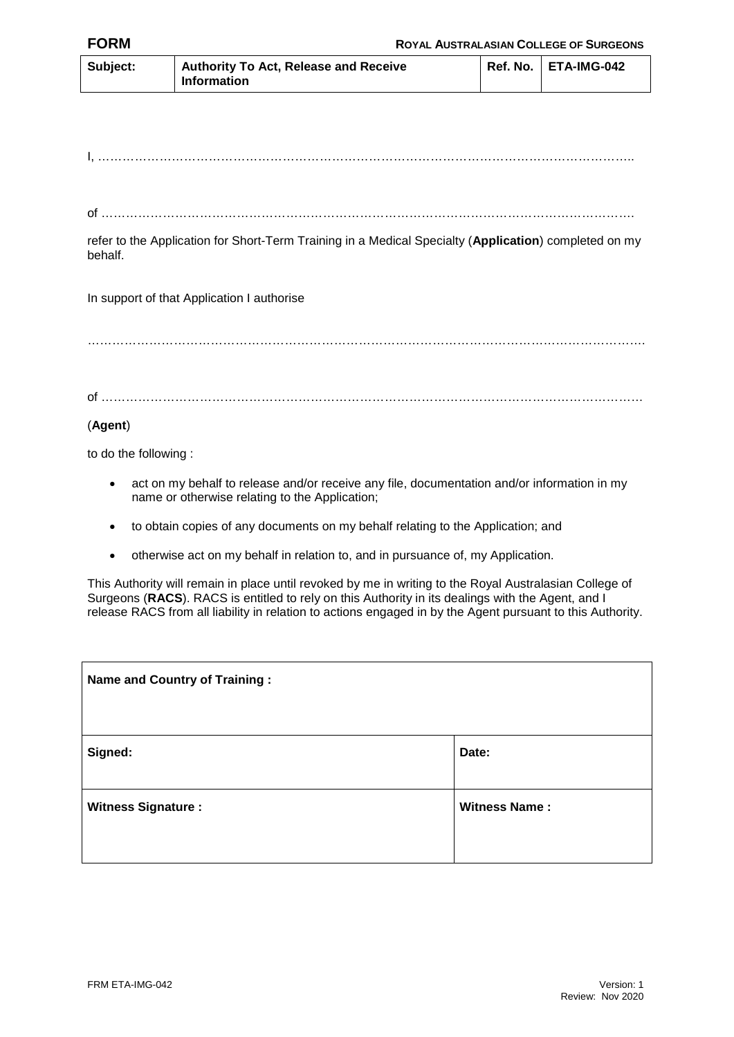| Subject: | <b>Authority To Act, Release and Receive</b><br><b>Information</b> | Ref. No.   ETA-IMG-042 |
|----------|--------------------------------------------------------------------|------------------------|

I, …………………………………………………………………………………………………………………..

of ………………………………………………………………………………………………………………….

refer to the Application for Short-Term Training in a Medical Specialty (**Application**) completed on my behalf.

In support of that Application I authorise

……………………………………………………………………………………………………………………….

of ……………………………………………………………………………………………………………………

## (**Agent**)

to do the following :

- act on my behalf to release and/or receive any file, documentation and/or information in my name or otherwise relating to the Application;
- to obtain copies of any documents on my behalf relating to the Application; and
- otherwise act on my behalf in relation to, and in pursuance of, my Application.

This Authority will remain in place until revoked by me in writing to the Royal Australasian College of Surgeons (**RACS**). RACS is entitled to rely on this Authority in its dealings with the Agent, and I release RACS from all liability in relation to actions engaged in by the Agent pursuant to this Authority.

| <b>Name and Country of Training:</b> |                      |  |  |
|--------------------------------------|----------------------|--|--|
| Signed:                              | Date:                |  |  |
| <b>Witness Signature:</b>            | <b>Witness Name:</b> |  |  |